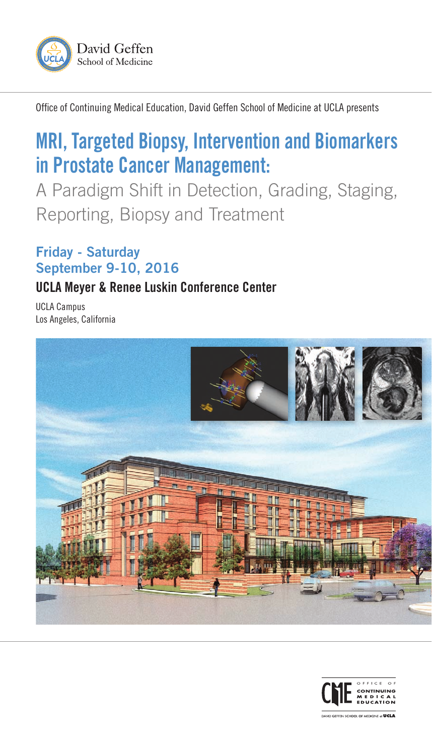

Office of Continuing Medical Education, David Geffen School of Medicine at UCLA presents

# MRI, Targeted Biopsy, Intervention and Biomarkers in Prostate Cancer Management:

A Paradigm Shift in Detection, Grading, Staging, Reporting, Biopsy and Treatment

# Friday - Saturday September 9-10, 2016

# UCLA Meyer & Renee Luskin Conference Center

UCLA Campus Los Angeles, California



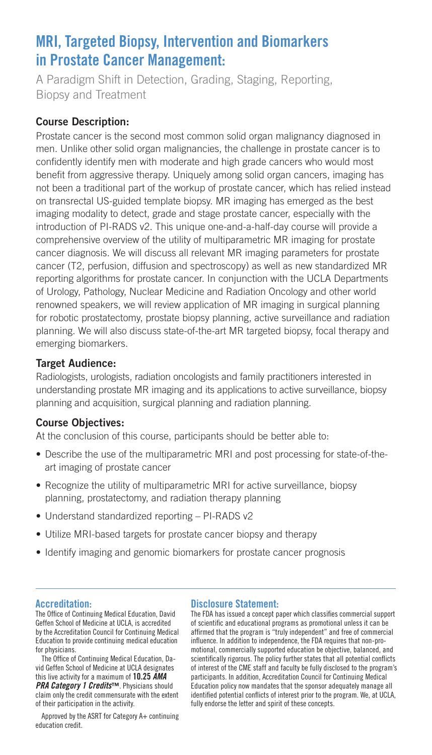# MRI, Targeted Biopsy, Intervention and Biomarkers in Prostate Cancer Management:

A Paradigm Shift in Detection, Grading, Staging, Reporting, Biopsy and Treatment

## Course Description:

Prostate cancer is the second most common solid organ malignancy diagnosed in men. Unlike other solid organ malignancies, the challenge in prostate cancer is to confidently identify men with moderate and high grade cancers who would most benefit from aggressive therapy. Uniquely among solid organ cancers, imaging has not been a traditional part of the workup of prostate cancer, which has relied instead on transrectal US-guided template biopsy. MR imaging has emerged as the best imaging modality to detect, grade and stage prostate cancer, especially with the introduction of PI-RADS v2. This unique one-and-a-half-day course will provide a comprehensive overview of the utility of multiparametric MR imaging for prostate cancer diagnosis. We will discuss all relevant MR imaging parameters for prostate cancer (T2, perfusion, diffusion and spectroscopy) as well as new standardized MR reporting algorithms for prostate cancer. In conjunction with the UCLA Departments of Urology, Pathology, Nuclear Medicine and Radiation Oncology and other world renowned speakers, we will review application of MR imaging in surgical planning for robotic prostatectomy, prostate biopsy planning, active surveillance and radiation planning. We will also discuss state-of-the-art MR targeted biopsy, focal therapy and emerging biomarkers.

## Target Audience:

Radiologists, urologists, radiation oncologists and family practitioners interested in understanding prostate MR imaging and its applications to active surveillance, biopsy planning and acquisition, surgical planning and radiation planning.

## Course Objectives:

At the conclusion of this course, participants should be better able to:

- Describe the use of the multiparametric MRI and post processing for state-of-theart imaging of prostate cancer
- Recognize the utility of multiparametric MRI for active surveillance, biopsy planning, prostatectomy, and radiation therapy planning
- Understand standardized reporting PI-RADS v2
- Utilize MRI-based targets for prostate cancer biopsy and therapy
- Identify imaging and genomic biomarkers for prostate cancer prognosis

## Accreditation:

The Office of Continuing Medical Education, David Geffen School of Medicine at UCLA, is accredited by the Accreditation Council for Continuing Medical Education to provide continuing medical education for physicians.

The Office of Continuing Medical Education, David Geffen School of Medicine at UCLA designates this live activity for a maximum of 10.25 *AMA PRA Category 1 Credits*™. Physicians should claim only the credit commensurate with the extent of their participation in the activity.

Approved by the ASRT for Category A+ continuing education credit.

#### Disclosure Statement:

The FDA has issued a concept paper which classifies commercial support of scientific and educational programs as promotional unless it can be affirmed that the program is "truly independent" and free of commercial influence. In addition to independence, the FDA requires that non-promotional, commercially supported education be objective, balanced, and scientifically rigorous. The policy further states that all potential conflicts of interest of the CME staff and faculty be fully disclosed to the program's participants. In addition, Accreditation Council for Continuing Medical Education policy now mandates that the sponsor adequately manage all identified potential conflicts of interest prior to the program. We, at UCLA, fully endorse the letter and spirit of these concepts.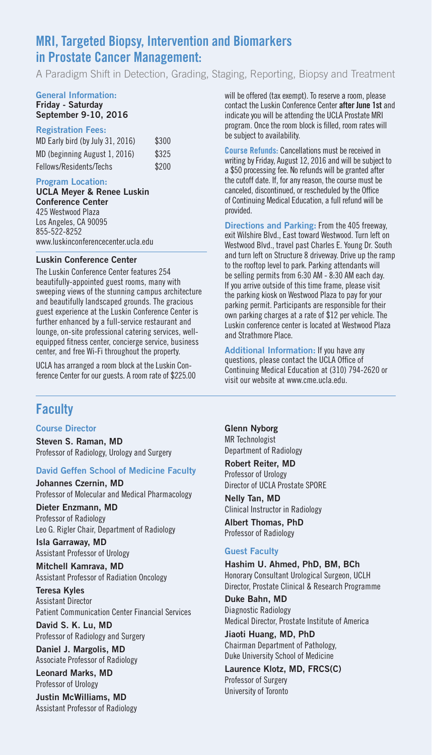# MRI, Targeted Biopsy, Intervention and Biomarkers in Prostate Cancer Management:

A Paradigm Shift in Detection, Grading, Staging, Reporting, Biopsy and Treatment

#### General Information: **Friday - Saturday**

# **September 9-10, 2016**

#### **Registration Fees:**

| MD Early bird (by July 31, 2016) | \$300 |
|----------------------------------|-------|
| MD (beginning August 1, 2016)    | \$325 |
| Fellows/Residents/Techs          | \$200 |

#### **Program Location:**

#### **UCLA Meyer & Renee Luskin Conference Center** 425 Westwood Plaza Los Angeles, CA 90095 855-522-8252 www.luskinconferencecenter.ucla.edu

#### **Luskin Conference Center**

The Luskin Conference Center features 254 beautifully-appointed guest rooms, many with sweeping views of the stunning campus architecture and beautifully landscaped grounds. The gracious guest experience at the Luskin Conference Center is further enhanced by a full-service restaurant and lounge, on-site professional catering services, wellequipped fitness center, concierge service, business center, and free Wi-Fi throughout the property.

UCLA has arranged a room block at the Luskin Conference Center for our guests. A room rate of \$225.00

# **Faculty**

#### Course Director

Steven S. Raman, MD Professor of Radiology, Urology and Surgery

#### David Geffen School of Medicine Faculty

Johannes Czernin, MD Professor of Molecular and Medical Pharmacology

Dieter Enzmann, MD Professor of Radiology Leo G. Rigler Chair, Department of Radiology

Isla Garraway, MD Assistant Professor of Urology

Mitchell Kamrava, MD Assistant Professor of Radiation Oncology

Teresa Kyles Assistant Director Patient Communication Center Financial Services

David S. K. Lu, MD Professor of Radiology and Surgery

Daniel J. Margolis, MD Associate Professor of Radiology

Leonard Marks, MD Professor of Urology

Justin McWilliams, MD Assistant Professor of Radiology will be offered (tax exempt). To reserve a room, please contact the Luskin Conference Center **after June 1st** and indicate you will be attending the UCLA Prostate MRI program. Once the room block is filled, room rates will be subject to availability.

**Course Refunds:** Cancellations must be received in writing by Friday, August 12, 2016 and will be subject to a \$50 processing fee. No refunds will be granted after the cutoff date. If, for any reason, the course must be canceled, discontinued, or rescheduled by the Office of Continuing Medical Education, a full refund will be provided.

**Directions and Parking:** From the 405 freeway, exit Wilshire Blvd., East toward Westwood. Turn left on Westwood Blvd., travel past Charles E. Young Dr. South and turn left on Structure 8 driveway. Drive up the ramp to the rooftop level to park. Parking attendants will be selling permits from 6:30 AM - 8:30 AM each day. If you arrive outside of this time frame, please visit the parking kiosk on Westwood Plaza to pay for your parking permit. Participants are responsible for their own parking charges at a rate of \$12 per vehicle. The Luskin conference center is located at Westwood Plaza and Strathmore Place.

Additional Information: If you have any questions, please contact the UCLA Office of Continuing Medical Education at (310) 794-2620 or visit our website at www.cme.ucla.edu.

Glenn Nyborg MR Technologist Department of Radiology

Robert Reiter, MD Professor of Urology Director of UCLA Prostate SPORE

Nelly Tan, MD Clinical Instructor in Radiology

Albert Thomas, PhD Professor of Radiology

#### Guest Faculty

Hashim U. Ahmed, PhD, BM, BCh Honorary Consultant Urological Surgeon, UCLH Director, Prostate Clinical & Research Programme

Duke Bahn, MD Diagnostic Radiology Medical Director, Prostate Institute of America

Jiaoti Huang, MD, PhD Chairman Department of Pathology, Duke University School of Medicine

Laurence Klotz, MD, FRCS(C) Professor of Surgery University of Toronto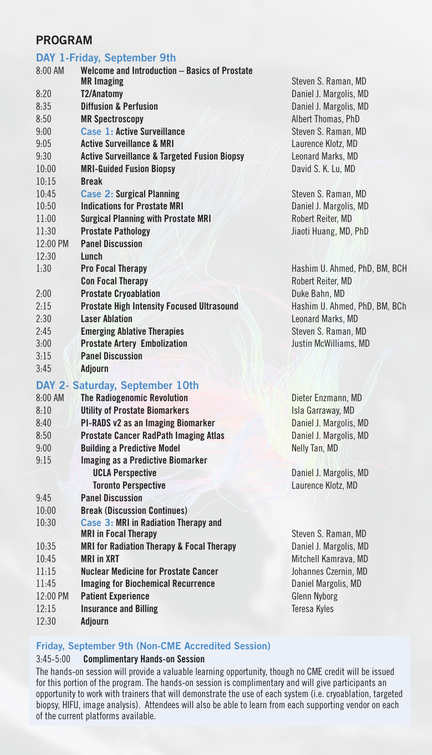# PROGRAM

# DAY 1-Friday, September 9th

| 8:00 AM  | <b>Welcome and Introduction - Basics of Prostate</b>    |                               |
|----------|---------------------------------------------------------|-------------------------------|
|          | <b>MR</b> Imaging                                       | Steven S. Raman, MD           |
| 8:20     | T2/Anatomy                                              | Daniel J. Margolis, MD        |
| 8:35     | <b>Diffusion &amp; Perfusion</b>                        | Daniel J. Margolis, MD        |
| 8:50     | <b>MR Spectroscopy</b>                                  | Albert Thomas, PhD            |
| 9:00     | Case 1: Active Surveillance                             | Steven S. Raman, MD           |
| 9:05     | <b>Active Surveillance &amp; MRI</b>                    | Laurence Klotz, MD            |
| 9:30     | <b>Active Surveillance &amp; Targeted Fusion Biopsy</b> | Leonard Marks, MD             |
| 10:00    | <b>MRI-Guided Fusion Biopsy</b>                         | David S. K. Lu, MD            |
| 10:15    | <b>Break</b>                                            |                               |
| 10:45    | <b>Case 2: Surgical Planning</b>                        | Steven S. Raman, MD           |
| 10:50    | <b>Indications for Prostate MRI</b>                     | Daniel J. Margolis, MD        |
| 11:00    | <b>Surgical Planning with Prostate MRI</b>              | Robert Reiter, MD             |
| 11:30    | <b>Prostate Pathology</b>                               | Jiaoti Huang, MD, PhD         |
| 12:00 PM | <b>Panel Discussion</b>                                 |                               |
| 12:30    | Lunch                                                   |                               |
| 1:30     | <b>Pro Focal Therapy</b>                                | Hashim U. Ahmed, PhD, BM, BCH |
|          | <b>Con Focal Therapy</b>                                | Robert Reiter, MD             |
| 2:00     | <b>Prostate Cryoablation</b>                            | Duke Bahn, MD                 |
| 2:15     | <b>Prostate High Intensity Focused Ultrasound</b>       | Hashim U. Ahmed, PhD, BM, BCh |
| 2:30     | <b>Laser Ablation</b>                                   | Leonard Marks, MD             |
| 2:45     | <b>Emerging Ablative Therapies</b>                      | Steven S. Raman, MD           |
| 3:00     | <b>Prostate Artery Embolization</b>                     | Justin McWilliams, MD         |
| 3:15     | <b>Panel Discussion</b>                                 |                               |
| 3:45     | <b>Adjourn</b>                                          |                               |
|          | DAY 2- Saturday, September 10th                         |                               |
| 8:00 AM  | <b>The Radiogenomic Revolution</b>                      | Dieter Enzmann, MD            |
| 8:10     | <b>Utility of Prostate Biomarkers</b>                   | Isla Garraway, MD             |
| 8:40     | PI-RADS v2 as an Imaging Biomarker                      | Daniel J. Margolis, MD        |
| 8:50     | <b>Prostate Cancer RadPath Imaging Atlas</b>            | Daniel J. Margolis, MD        |
| 9:00     | <b>Building a Predictive Model</b>                      | Nelly Tan, MD                 |
| 9:15     | <b>Imaging as a Predictive Biomarker</b>                |                               |
|          | <b>UCLA Perspective</b>                                 | Daniel J. Margolis, MD        |
|          | <b>Toronto Perspective</b>                              | Laurence Klotz, MD            |
| 9:45     | <b>Panel Discussion</b>                                 |                               |
| 10:00    | <b>Break (Discussion Continues)</b>                     |                               |
| 10:30    | Case 3: MRI in Radiation Therapy and                    |                               |
|          | <b>MRI in Focal Therapy</b>                             | Steven S. Raman, MD           |
| 10:35    | <b>MRI for Radiation Therapy &amp; Focal Therapy</b>    | Daniel J. Margolis, MD        |
| 10:45    | <b>MRI in XRT</b>                                       | Mitchell Kamrava, MD          |
| 11:15    | <b>Nuclear Medicine for Prostate Cancer</b>             | Johannes Czernin, MD          |
| 11:45    | <b>Imaging for Biochemical Recurrence</b>               | Daniel Margolis, MD           |
| 12:00 PM | <b>Patient Experience</b>                               | <b>Glenn Nyborg</b>           |
| 12:15    | <b>Insurance and Billing</b>                            | Teresa Kyles                  |
| 12:30    | <b>Adjourn</b>                                          |                               |

#### Friday, September 9th (Non-CME Accredited Session)

## 3:45-5:00 Complimentary Hands-on Session

The hands-on session will provide a valuable learning opportunity, though no CME credit will be issued for this portion of the program. The hands-on session is complimentary and will give participants an opportunity to work with trainers that will demonstrate the use of each system (i.e. cryoablation, targeted biopsy, HIFU, image analysis). Attendees will also be able to learn from each supporting vendor on each of the current platforms available.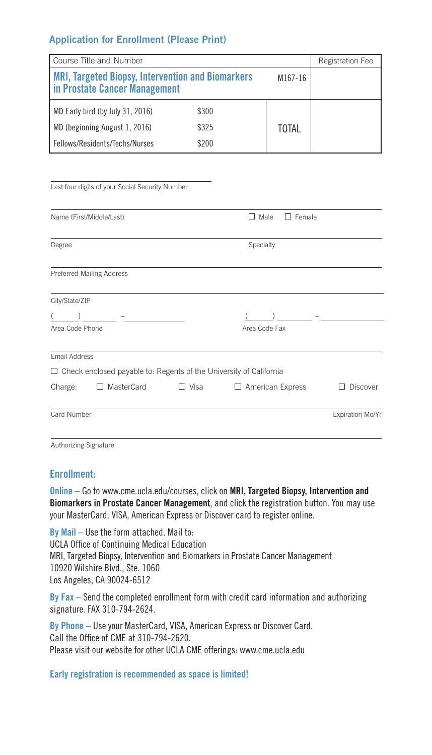## Application for Enrollment (Please Print)

| Course Title and Number                                                                              | Registration Fee |              |  |
|------------------------------------------------------------------------------------------------------|------------------|--------------|--|
| <b>MRI, Targeted Biopsy, Intervention and Biomarkers</b><br>M167-16<br>in Prostate Cancer Management |                  |              |  |
| MD Early bird (by July 31, 2016)                                                                     | \$300            |              |  |
| MD (beginning August 1, 2016)                                                                        | \$325            | <b>TOTAL</b> |  |
| Fellows/Residents/Techs/Nurses                                                                       | \$200            |              |  |

| Last four digits of your Social Security Number |  |
|-------------------------------------------------|--|
|                                                 |  |

|                 | Name (First/Middle/Last)                                                  |             | Female<br>Male<br>- 1                                                                                      |                  |
|-----------------|---------------------------------------------------------------------------|-------------|------------------------------------------------------------------------------------------------------------|------------------|
| Degree          |                                                                           |             | Specialty                                                                                                  |                  |
|                 | <b>Preferred Mailing Address</b>                                          |             |                                                                                                            |                  |
| City/State/ZIP  |                                                                           |             |                                                                                                            |                  |
|                 |                                                                           |             | $\mathcal{L}(\mathcal{L}^{\mathcal{L}})$ , and $\mathcal{L}^{\mathcal{L}}$ and $\mathcal{L}^{\mathcal{L}}$ |                  |
| Area Code Phone |                                                                           |             | Area Code Fax                                                                                              |                  |
| Email Address   |                                                                           |             |                                                                                                            |                  |
|                 | $\Box$ Check enclosed payable to: Regents of the University of California |             |                                                                                                            |                  |
| Charge:         | MasterCard<br>$\perp$                                                     | $\Box$ Visa | $\Box$ American Express                                                                                    | <b>Discover</b>  |
| Card Number     |                                                                           |             |                                                                                                            | Expiration Mo/Yr |

Authorizing Signature

## **Enrollment:**

**Online –** Go to www.cme.ucla.edu/courses, click on MRI, Targeted Biopsy, Intervention and Biomarkers in Prostate Cancer Management, and click the registration button. You may use your MasterCard, VISA, American Express or Discover card to register online.

**By Mail –** Use the form attached. Mail to: UCLA Office of Continuing Medical Education MRI, Targeted Biopsy, Intervention and Biomarkers in Prostate Cancer Management 10920 Wilshire Blvd., Ste. 1060 Los Angeles, CA 90024-6512

**By Fax –** Send the completed enrollment form with credit card information and authorizing signature. FAX 310-794-2624.

**By Phone –** Use your MasterCard, VISA, American Express or Discover Card. Call the Office of CME at 310-794-2620. Please visit our website for other UCLA CME offerings: www.cme.ucla.edu

**Early registration is recommended as space is limited!**